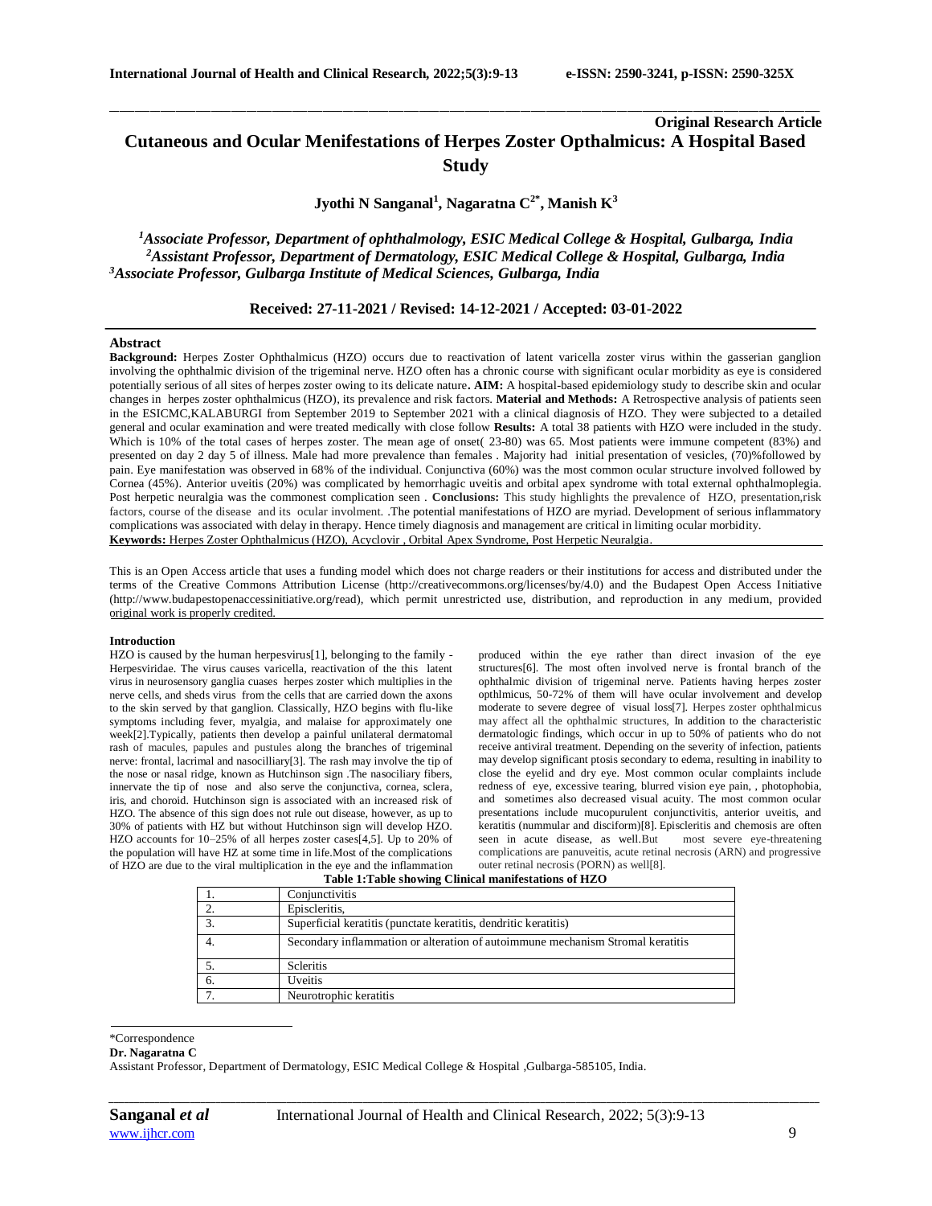# **Original Research Article Cutaneous and Ocular Menifestations of Herpes Zoster Opthalmicus: A Hospital Based Study**

\_\_\_\_\_\_\_\_\_\_\_\_\_\_\_\_\_\_\_\_\_\_\_\_\_\_\_\_\_\_\_\_\_\_\_\_\_\_\_\_\_\_\_\_\_\_\_\_\_\_\_\_\_\_\_\_\_\_\_\_\_\_\_\_\_\_\_\_\_\_\_\_\_\_\_\_\_\_\_\_\_\_\_\_\_\_\_\_\_\_\_\_\_\_\_\_\_\_\_\_\_\_\_\_\_\_\_\_\_\_\_\_\_\_\_\_\_\_\_\_\_\_\_\_\_\_\_\_\_\_\_\_\_\_\_\_\_\_\_\_

**Jyothi N Sanganal<sup>1</sup> , Nagaratna C2\* , Manish K<sup>3</sup>**

*<sup>1</sup>Associate Professor, Department of ophthalmology, ESIC Medical College & Hospital, Gulbarga, India <sup>2</sup>Assistant Professor, Department of Dermatology, ESIC Medical College & Hospital, Gulbarga, India <sup>3</sup>Associate Professor, Gulbarga Institute of Medical Sciences, Gulbarga, India*

# **Received: 27-11-2021 / Revised: 14-12-2021 / Accepted: 03-01-2022**

# **Abstract**

**Background:** Herpes Zoster Ophthalmicus (HZO) occurs due to reactivation of latent varicella zoster virus within the gasserian ganglion involving the ophthalmic division of the trigeminal nerve. HZO often has a chronic course with significant ocular morbidity as eye is considered potentially serious of all sites of herpes zoster owing to its delicate nature**. AIM:** A hospital-based epidemiology study to describe skin and ocular changes in herpes zoster ophthalmicus (HZO), its prevalence and risk factors. **Material and Methods:** A Retrospective analysis of patients seen in the ESICMC,KALABURGI from September 2019 to September 2021 with a clinical diagnosis of HZO. They were subjected to a detailed general and ocular examination and were treated medically with close follow **Results:** A total 38 patients with HZO were included in the study. Which is 10% of the total cases of herpes zoster. The mean age of onset( 23-80) was 65. Most patients were immune competent (83%) and presented on day 2 day 5 of illness. Male had more prevalence than females . Majority had initial presentation of vesicles, (70)%followed by pain. Eye manifestation was observed in 68% of the individual. Conjunctiva (60%) was the most common ocular structure involved followed by Cornea (45%). Anterior uveitis (20%) was complicated by hemorrhagic uveitis and orbital apex syndrome with total external ophthalmoplegia. Post herpetic neuralgia was the commonest complication seen . **Conclusions:** This study highlights the prevalence of HZO, presentation,risk factors, course of the disease and its ocular involment. .The potential manifestations of HZO are myriad. Development of serious inflammatory complications was associated with delay in therapy. Hence timely diagnosis and management are critical in limiting ocular morbidity. **Keywords:** Herpes Zoster Ophthalmicus (HZO), Acyclovir , Orbital Apex Syndrome, Post Herpetic Neuralgia.

This is an Open Access article that uses a funding model which does not charge readers or their institutions for access and distributed under the terms of the Creative Commons Attribution License (http://creativecommons.org/licenses/by/4.0) and the Budapest Open Access Initiative (http://www.budapestopenaccessinitiative.org/read), which permit unrestricted use, distribution, and reproduction in any medium, provided original work is properly credited.

#### **Introduction**

HZO is caused by the human herpesvirus[1], belonging to the family - Herpesviridae. The virus causes varicella, reactivation of the this latent virus in neurosensory ganglia cuases herpes zoster which multiplies in the nerve cells, and sheds virus from the cells that are carried down the axons to the skin served by that ganglion. Classically, HZO begins with flu-like symptoms including fever, myalgia, and malaise for approximately one week[2].Typically, patients then develop a painful unilateral dermatomal rash of macules, papules and pustules along the branches of trigeminal nerve: frontal, lacrimal and nasocilliary[3]. The rash may involve the tip of the nose or nasal ridge, known as Hutchinson sign .The nasociliary fibers, innervate the tip of nose and also serve the conjunctiva, cornea, sclera, iris, and choroid. Hutchinson sign is associated with an increased risk of HZO. The absence of this sign does not rule out disease, however, as up to 30% of patients with HZ but without Hutchinson sign will develop HZO. HZO accounts for 10–25% of all herpes zoster cases[4,5]. Up to 20% of the population will have HZ at some time in life.Most of the complications of HZO are due to the viral multiplication in the eye and the inflammation

produced within the eye rather than direct invasion of the eye structures[6]. The most often involved nerve is frontal branch of the ophthalmic division of trigeminal nerve. Patients having herpes zoster opthlmicus, 50-72% of them will have ocular involvement and develop moderate to severe degree of visual loss[7]. Herpes zoster ophthalmicus may affect all the ophthalmic structures, In addition to the characteristic dermatologic findings, which occur in up to 50% of patients who do not receive antiviral treatment. Depending on the severity of infection, patients may develop significant ptosis secondary to edema, resulting in inability to close the eyelid and dry eye. Most common ocular complaints include redness of eye, excessive tearing, blurred vision eye pain, , photophobia, and sometimes also decreased visual acuity. The most common ocular presentations include mucopurulent conjunctivitis, anterior uveitis, and keratitis (nummular and disciform)[8]. Episcleritis and chemosis are often seen in acute disease, as well.But most severe eye-threatening complications are panuveitis, acute retinal necrosis (ARN) and progressive outer retinal necrosis (PORN) as well[8].

**Table 1:Table showing Clinical manifestations of HZO**

|    | Conjunctivitis                                                                 |  |
|----|--------------------------------------------------------------------------------|--|
|    | Episcleritis,                                                                  |  |
|    | Superficial keratitis (punctate keratitis, dendritic keratitis)                |  |
|    | Secondary inflammation or alteration of autoimmune mechanism Stromal keratitis |  |
|    | <b>Scleritis</b>                                                               |  |
| 6. | <b>Uveitis</b>                                                                 |  |
|    | Neurotrophic keratitis                                                         |  |

#### \*Correspondence

#### **Dr. Nagaratna C**

Assistant Professor, Department of Dermatology, ESIC Medical College & Hospital ,Gulbarga-585105, India.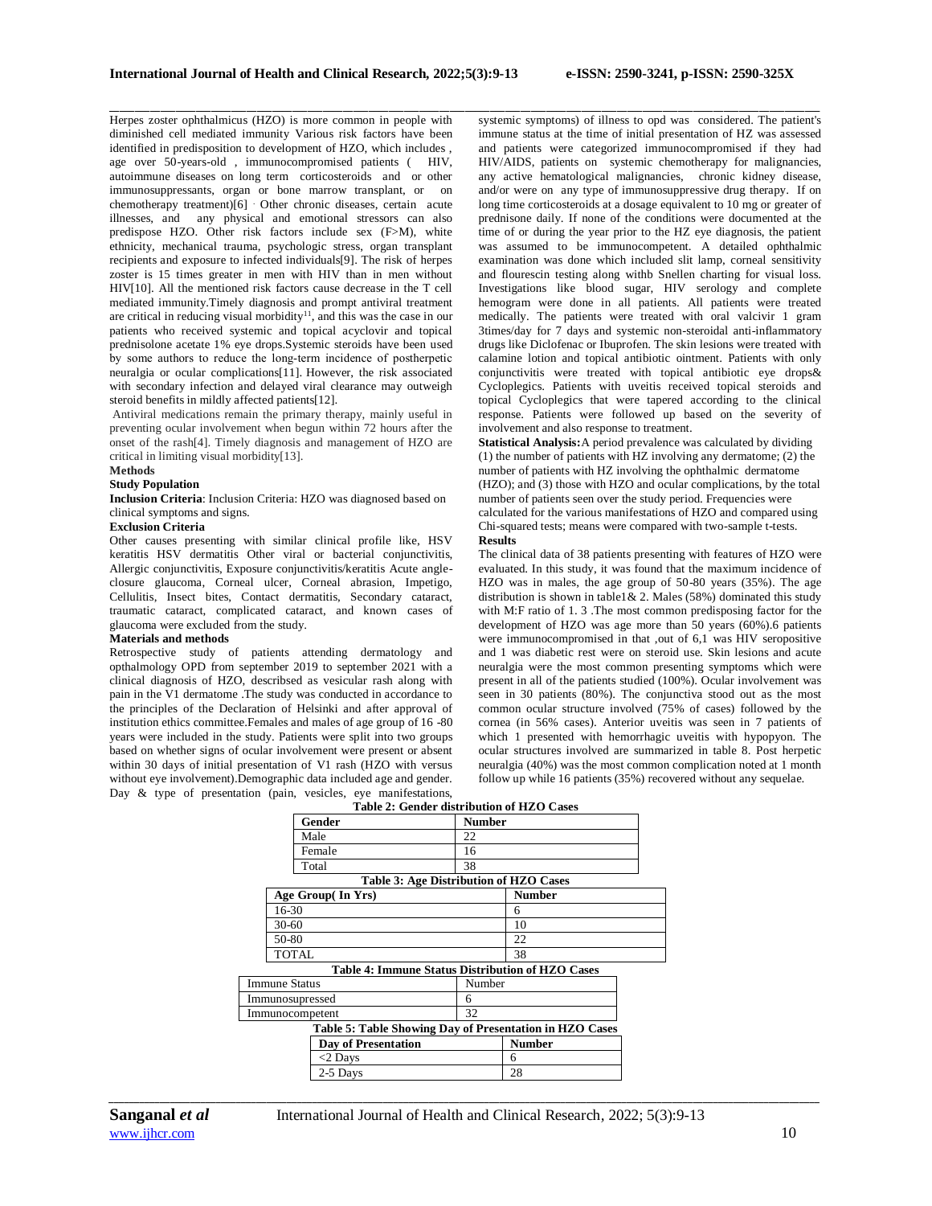Herpes zoster ophthalmicus (HZO) is more common in people with diminished cell mediated immunity Various risk factors have been identified in predisposition to development of HZO, which includes , age over 50-years-old , immunocompromised patients ( HIV, autoimmune diseases on long term corticosteroids and or other immunosuppressants, organ or bone marrow transplant, or on chemotherapy treatment)[6] . Other chronic diseases, certain acute illnesses, and any physical and emotional stressors can also predispose HZO. Other risk factors include sex (F>M), white ethnicity, mechanical trauma, psychologic stress, organ transplant recipients and exposure to infected individuals[9]. The risk of herpes zoster is 15 times greater in men with HIV than in men without HIV[10]. All the mentioned risk factors cause decrease in the T cell mediated immunity.Timely diagnosis and prompt antiviral treatment are critical in reducing visual morbidity<sup>11</sup>, and this was the case in our patients who received systemic and topical acyclovir and topical prednisolone acetate 1% eye drops.Systemic steroids have been used by some authors to reduce the long‐term incidence of postherpetic neuralgia or ocular complications[11]. However, the risk associated with secondary infection and delayed viral clearance may outweigh steroid benefits in mildly affected patients[12].

Antiviral medications remain the primary therapy, mainly useful in preventing ocular involvement when begun within 72 hours after the onset of the rash[4]. Timely diagnosis and management of HZO are critical in limiting visual morbidity[13].

## **Methods**

## **Study Population**

**Inclusion Criteria**: Inclusion Criteria: HZO was diagnosed based on clinical symptoms and signs.

# **Exclusion Criteria**

Other causes presenting with similar clinical profile like, HSV keratitis HSV dermatitis Other viral or bacterial conjunctivitis, Allergic conjunctivitis, Exposure conjunctivitis/keratitis Acute angleclosure glaucoma, Corneal ulcer, Corneal abrasion, Impetigo, Cellulitis, Insect bites, Contact dermatitis, Secondary cataract, traumatic cataract, complicated cataract, and known cases of glaucoma were excluded from the study.

## **Materials and methods**

Retrospective study of patients attending dermatology and opthalmology OPD from september 2019 to september 2021 with a clinical diagnosis of HZO, describsed as vesicular rash along with pain in the V1 dermatome .The study was conducted in accordance to the principles of the Declaration of Helsinki and after approval of institution ethics committee.Females and males of age group of 16 -80 years were included in the study. Patients were split into two groups based on whether signs of ocular involvement were present or absent within 30 days of initial presentation of V1 rash (HZO with versus without eye involvement).Demographic data included age and gender. Day & type of presentation (pain, vesicles, eye manifestations,

\_\_\_\_\_\_\_\_\_\_\_\_\_\_\_\_\_\_\_\_\_\_\_\_\_\_\_\_\_\_\_\_\_\_\_\_\_\_\_\_\_\_\_\_\_\_\_\_\_\_\_\_\_\_\_\_\_\_\_\_\_\_\_\_\_\_\_\_\_\_\_\_\_\_\_\_\_\_\_\_\_\_\_\_\_\_\_\_\_\_\_\_\_\_\_\_\_\_\_\_\_\_\_\_\_\_\_\_\_\_\_\_\_\_\_\_\_\_\_\_\_\_\_\_\_\_\_\_\_\_\_\_\_\_\_\_\_\_\_\_ systemic symptoms) of illness to opd was considered. The patient's immune status at the time of initial presentation of HZ was assessed and patients were categorized immunocompromised if they had HIV/AIDS, patients on systemic chemotherapy for malignancies, any active hematological malignancies, chronic kidney disease, and/or were on any type of immunosuppressive drug therapy. If on long time corticosteroids at a dosage equivalent to 10 mg or greater of prednisone daily. If none of the conditions were documented at the time of or during the year prior to the HZ eye diagnosis, the patient was assumed to be immunocompetent. A detailed ophthalmic examination was done which included slit lamp, corneal sensitivity and flourescin testing along withb Snellen charting for visual loss. Investigations like blood sugar, HIV serology and complete hemogram were done in all patients. All patients were treated medically. The patients were treated with oral valcivir 1 gram 3times/day for 7 days and systemic non-steroidal anti-inflammatory drugs like Diclofenac or Ibuprofen. The skin lesions were treated with calamine lotion and topical antibiotic ointment. Patients with only conjunctivitis were treated with topical antibiotic eye drops& Cycloplegics. Patients with uveitis received topical steroids and topical Cycloplegics that were tapered according to the clinical response. Patients were followed up based on the severity of involvement and also response to treatment.

**Statistical Analysis:**A period prevalence was calculated by dividing (1) the number of patients with HZ involving any dermatome; (2) the number of patients with HZ involving the ophthalmic dermatome (HZO); and (3) those with HZO and ocular complications, by the total number of patients seen over the study period. Frequencies were calculated for the various manifestations of HZO and compared using Chi-squared tests; means were compared with two-sample t-tests. **Results** 

The clinical data of 38 patients presenting with features of HZO were evaluated. In this study, it was found that the maximum incidence of HZO was in males, the age group of 50-80 years (35%). The age distribution is shown in table1& 2. Males (58%) dominated this study with M:F ratio of 1. 3 .The most common predisposing factor for the development of HZO was age more than 50 years (60%).6 patients were immunocompromised in that ,out of 6,1 was HIV seropositive and 1 was diabetic rest were on steroid use. Skin lesions and acute neuralgia were the most common presenting symptoms which were present in all of the patients studied (100%). Ocular involvement was seen in 30 patients (80%). The conjunctiva stood out as the most common ocular structure involved (75% of cases) followed by the cornea (in 56% cases). Anterior uveitis was seen in 7 patients of which 1 presented with hemorrhagic uveitis with hypopyon. The ocular structures involved are summarized in table 8. Post herpetic neuralgia (40%) was the most common complication noted at 1 month follow up while 16 patients (35%) recovered without any sequelae.

|                      |                     | Table 2: Gender distribution of HZO Cases               |  |
|----------------------|---------------------|---------------------------------------------------------|--|
|                      | Gender              | <b>Number</b>                                           |  |
|                      | Male                | 22                                                      |  |
|                      | Female              | 16                                                      |  |
|                      | Total               | 38                                                      |  |
|                      |                     | <b>Table 3: Age Distribution of HZO Cases</b>           |  |
|                      | Age Group(In Yrs)   | <b>Number</b>                                           |  |
|                      | 16-30               | 6                                                       |  |
|                      | 30-60               | 10                                                      |  |
|                      | 50-80               | 22                                                      |  |
|                      | TOTAL               | 38                                                      |  |
|                      |                     | Table 4: Immune Status Distribution of HZO Cases        |  |
| <b>Immune Status</b> |                     | Number                                                  |  |
| Immunosupressed      |                     | 6                                                       |  |
| Immunocompetent      |                     | 32                                                      |  |
|                      |                     | Table 5: Table Showing Day of Presentation in HZO Cases |  |
|                      | Day of Presentation | <b>Number</b>                                           |  |
|                      | $<$ 2 Days          | 6                                                       |  |
|                      | 2-5 Days            | 28                                                      |  |
|                      |                     |                                                         |  |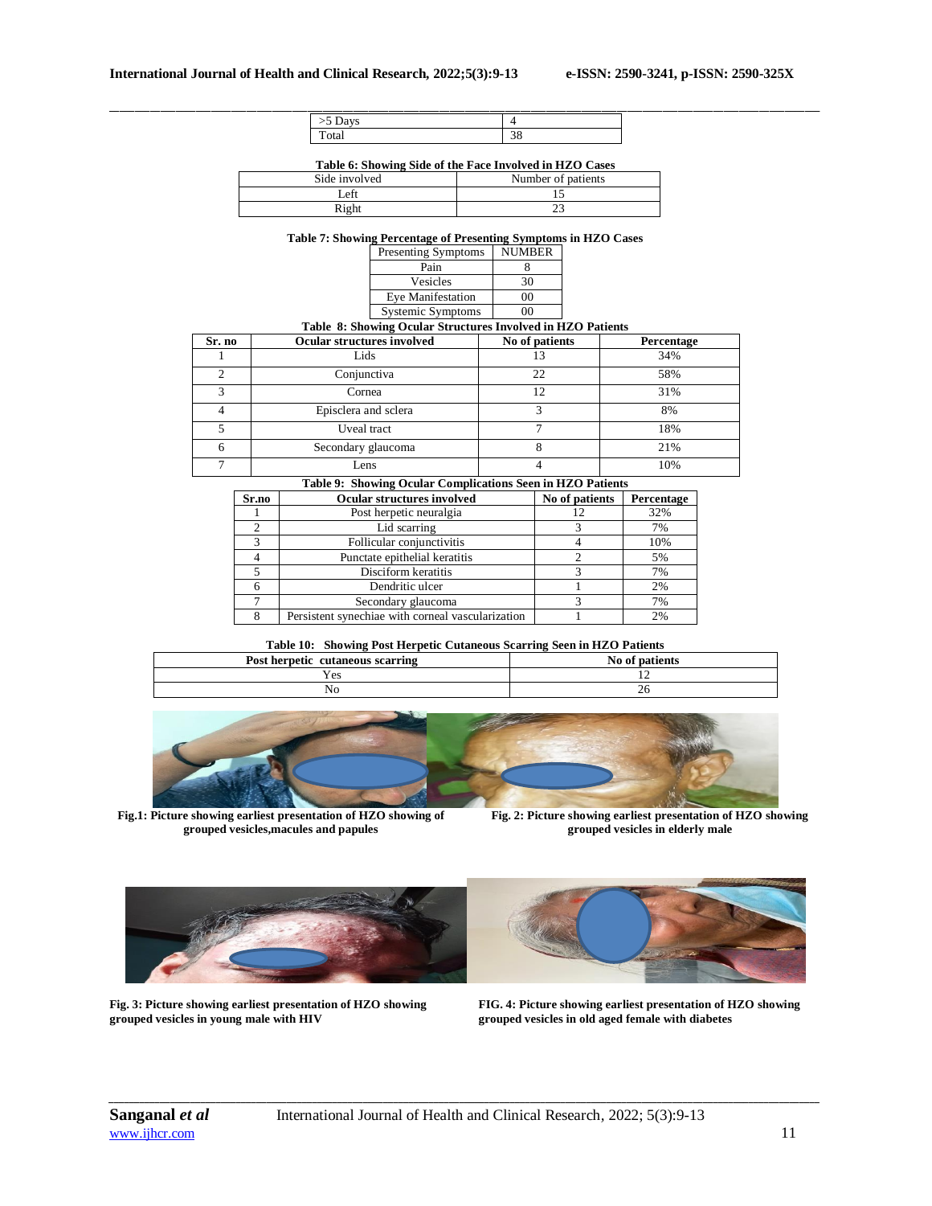| $\lambda$ |                           |  |
|-----------|---------------------------|--|
| Total     | $\Omega$<br>$\sim$<br>JU. |  |

**Table 6: Showing Side of the Face Involved in HZO Cases**

| Side involved | Number of patients |
|---------------|--------------------|
| _eft          |                    |
| Right         |                    |

**Table 7: Showing Percentage of Presenting Symptoms in HZO Cases**

|                | Presenting Symptoms                                         | .<br><b>NUMBER</b> |            |
|----------------|-------------------------------------------------------------|--------------------|------------|
|                | Pain                                                        | 8                  |            |
|                | Vesicles                                                    | 30                 |            |
|                | <b>Eye Manifestation</b>                                    | 00                 |            |
|                | <b>Systemic Symptoms</b>                                    | 00                 |            |
|                | Table 8: Showing Ocular Structures Involved in HZO Patients |                    |            |
| Sr. no         | <b>Ocular structures involved</b>                           | No of patients     | Percentage |
|                | Lids                                                        | 13                 | 34%        |
| $\overline{c}$ | Conjunctiva                                                 | 22                 | 58%        |
| 3              | Cornea                                                      | 12                 | 31%        |
| 4              | Episclera and sclera                                        | 3                  | 8%         |
| 5              | Uveal tract                                                 | 7                  | 18%        |
| 6              | Secondary glaucoma                                          | 8                  | 21%        |
| 7              | Lens                                                        | 4                  | 10%        |

**Table 9: Showing Ocular Complications Seen in HZO Patients**

| Sr.no | <b>Ocular structures involved</b>                 | No of patients | Percentage |
|-------|---------------------------------------------------|----------------|------------|
|       | Post herpetic neuralgia                           |                | 32%        |
|       | Lid scarring                                      |                | 7%         |
|       | Follicular conjunctivitis                         |                | 10%        |
|       | Punctate epithelial keratitis                     |                | 5%         |
|       | Disciform keratitis                               |                | 7%         |
|       | Dendritic ulcer                                   |                | 2%         |
|       | Secondary glaucoma                                |                | 7%         |
|       | Persistent synechiae with corneal vascularization |                | 2%         |

**Table 10: Showing Post Herpetic Cutaneous Scarring Seen in HZO Patients**

| Post herpetic cutaneous scarring | No of patients |
|----------------------------------|----------------|
| Yes                              |                |
| NC                               | 40             |



**Fig.1: Picture showing earliest presentation of HZO showing of grouped vesicles,macules and papules**

**Fig. 2: Picture showing earliest presentation of HZO showing grouped vesicles in elderly male**



**Fig. 3: Picture showing earliest presentation of HZO showing grouped vesicles in young male with HIV**



**FIG. 4: Picture showing earliest presentation of HZO showing grouped vesicles in old aged female with diabetes**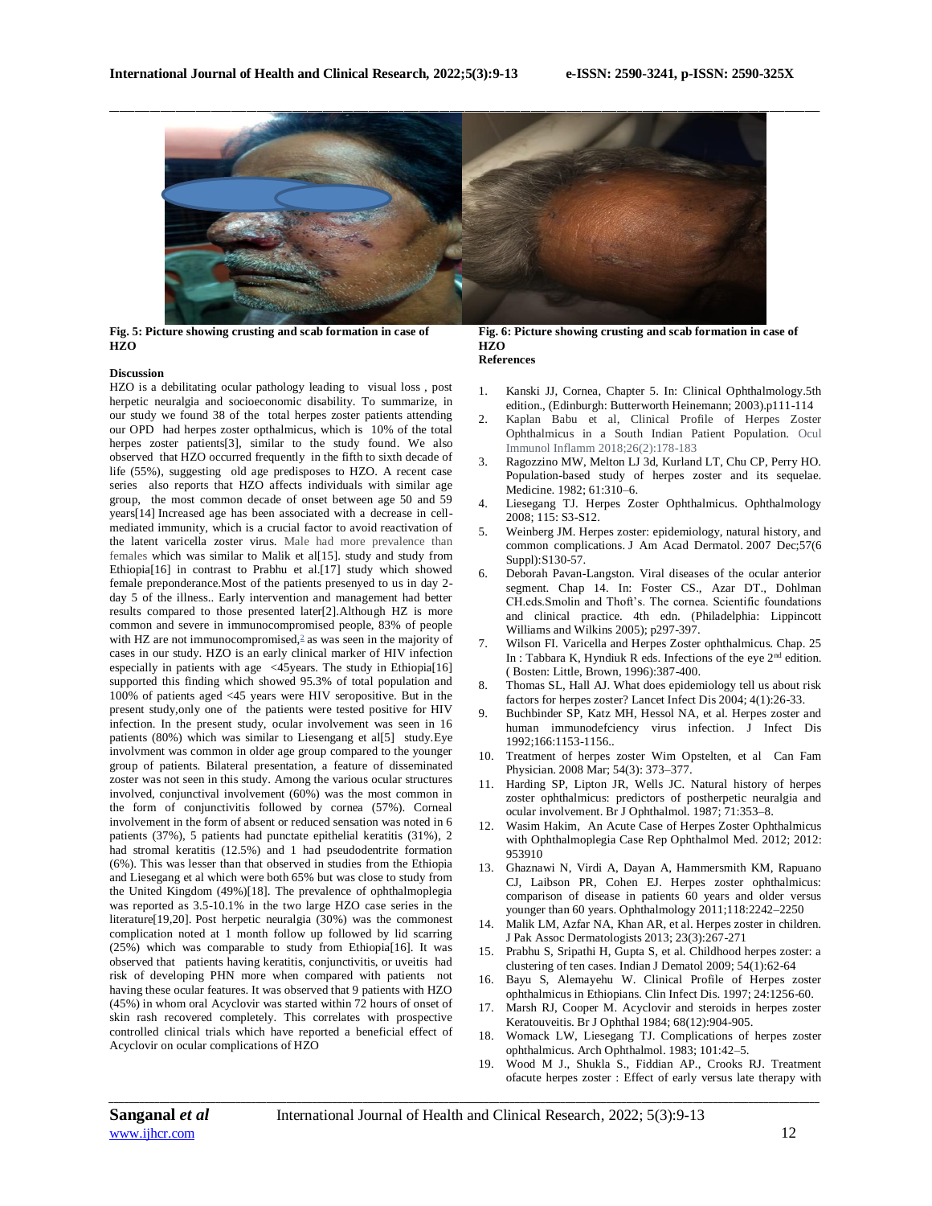

**Fig. 5: Picture showing crusting and scab formation in case of HZO**

#### **Discussion**

HZO is a debilitating ocular pathology leading to visual loss , post herpetic neuralgia and socioeconomic disability. To summarize, in our study we found 38 of the total herpes zoster patients attending our OPD had herpes zoster opthalmicus, which is 10% of the total herpes zoster patients[3], similar to the study found. We also observed that HZO occurred frequently in the fifth to sixth decade of life (55%), suggesting old age predisposes to HZO. A recent case series also reports that HZO affects individuals with similar age group, the most common decade of onset between age 50 and 59 years[14] Increased age has been associated with a decrease in cellmediated immunity, which is a crucial factor to avoid reactivation of the latent varicella zoster virus. Male had more prevalence than females which was similar to Malik et al[15]. study and study from Ethiopia[16] in contrast to Prabhu et al.[17] study which showed female preponderance.Most of the patients presenyed to us in day 2 day 5 of the illness.. Early intervention and management had better results compared to those presented later[2].Although HZ is more common and severe in immunocompromised people, 83% of people with HZ are not immunocompromise[d,](https://www.ncbi.nlm.nih.gov/pmc/articles/PMC4921261/#R2) $\frac{2}{3}$  as was seen in the majority of cases in our study. HZO is an early clinical marker of HIV infection especially in patients with age  $\leq$ 45 years. The study in Ethiopia<sup>[16]</sup> supported this finding which showed 95.3% of total population and 100% of patients aged <45 years were HIV seropositive. But in the present study,only one of the patients were tested positive for HIV infection. In the present study, ocular involvement was seen in 16 patients (80%) which was similar to Liesengang et al[5] study.Eye involvment was common in older age group compared to the younger group of patients. Bilateral presentation, a feature of disseminated zoster was not seen in this study. Among the various ocular structures involved, conjunctival involvement (60%) was the most common in the form of conjunctivitis followed by cornea (57%). Corneal involvement in the form of absent or reduced sensation was noted in 6 patients (37%), 5 patients had punctate epithelial keratitis (31%), 2 had stromal keratitis (12.5%) and 1 had pseudodentrite formation (6%). This was lesser than that observed in studies from the Ethiopia and Liesegang et al which were both 65% but was close to study from the United Kingdom (49%)[18]. The prevalence of ophthalmoplegia was reported as 3.5-10.1% in the two large HZO case series in the literature[19,20]. Post herpetic neuralgia (30%) was the commonest complication noted at 1 month follow up followed by lid scarring (25%) which was comparable to study from Ethiopia[16]. It was observed that patients having keratitis, conjunctivitis, or uveitis had risk of developing PHN more when compared with patients not having these ocular features. It was observed that 9 patients with HZO (45%) in whom oral Acyclovir was started within 72 hours of onset of skin rash recovered completely. This correlates with prospective controlled clinical trials which have reported a beneficial effect of Acyclovir on ocular complications of HZO

# **Fig. 6: Picture showing crusting and scab formation in case of HZO**

- **References**
- 1. Kanski JJ, Cornea, Chapter 5. In: Clinical Ophthalmology.5th edition., (Edinburgh: Butterworth Heinemann; 2003).p111-114
- 2. Kaplan Babu et al, Clinical Profile of Herpes Zoster Ophthalmicus in a South Indian Patient Population. Ocul Immunol Inflamm 2018;26(2):178-183
- Ragozzino MW, Melton LJ 3d, Kurland LT, Chu CP, Perry HO. Population-based study of herpes zoster and its sequelae. Medicine. 1982; 61:310–6.
- 4. Liesegang TJ. Herpes Zoster Ophthalmicus. Ophthalmology 2008; 115: S3-S12.
- 5. Weinberg JM. Herpes zoster: epidemiology, natural history, and common complications. J Am Acad Dermatol. 2007 Dec;57(6 Suppl):S130-57.
- 6. Deborah Pavan-Langston. Viral diseases of the ocular anterior segment. Chap 14. In: Foster CS., Azar DT., Dohlman CH.eds.Smolin and Thoft's. The cornea. Scientific foundations and clinical practice. 4th edn. (Philadelphia: Lippincott Williams and Wilkins 2005); p297-397.
- 7. Wilson FI. Varicella and Herpes Zoster ophthalmicus. Chap. 25 In : Tabbara K, Hyndiuk R eds. Infections of the eye 2nd edition. ( Bosten: Little, Brown, 1996):387-400.
- 8. Thomas SL, Hall AJ. What does epidemiology tell us about risk factors for herpes zoster? Lancet Infect Dis 2004; 4(1):26-33.
- 9. Buchbinder SP, Katz MH, Hessol NA, et al. Herpes zoster and human immunodefciency virus infection. J Infect Dis 1992;166:1153-1156..
- 10. Treatment of herpes zoster Wim Opstelten, et al Can Fam Physician. 2008 Mar; 54(3): 373–377.
- 11. Harding SP, Lipton JR, Wells JC. Natural history of herpes zoster ophthalmicus: predictors of postherpetic neuralgia and ocular involvement. Br J Ophthalmol. 1987; 71:353–8.
- 12. Wasim Hakim, An Acute Case of Herpes Zoster Ophthalmicus with Ophthalmoplegia Case Rep Ophthalmol Med. 2012; 2012: 953910
- 13. Ghaznawi N, Virdi A, Dayan A, Hammersmith KM, Rapuano CJ, Laibson PR, Cohen EJ. Herpes zoster ophthalmicus: comparison of disease in patients 60 years and older versus younger than 60 years. Ophthalmology 2011;118:2242–2250
- 14. Malik LM, Azfar NA, Khan AR, et al. Herpes zoster in children. J Pak Assoc Dermatologists 2013; 23(3):267-271
- 15. Prabhu S, Sripathi H, Gupta S, et al. Childhood herpes zoster: a clustering of ten cases. Indian J Dematol 2009; 54(1):62-64
- 16. Bayu S, Alemayehu W. Clinical Profile of Herpes zoster ophthalmicus in Ethiopians. Clin Infect Dis. 1997; 24:1256-60.
- 17. Marsh RJ, Cooper M. Acyclovir and steroids in herpes zoster Keratouveitis. Br J Ophthal 1984; 68(12):904-905.
- 18. Womack LW, Liesegang TJ. Complications of herpes zoster ophthalmicus. Arch Ophthalmol. 1983; 101:42–5.
- 19. Wood M J., Shukla S., Fiddian AP., Crooks RJ. Treatment ofacute herpes zoster : Effect of early versus late therapy with